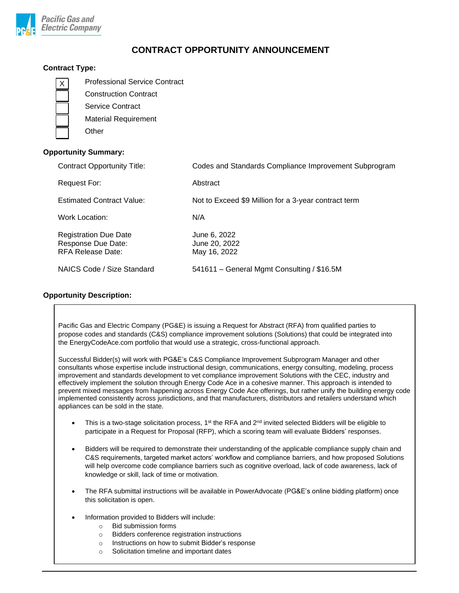

# **CONTRACT OPPORTUNITY ANNOUNCEMENT**

# **Contract Type:**

| <b>Professional Service Contract</b> |
|--------------------------------------|
| <b>Construction Contract</b>         |
| Service Contract                     |
| <b>Material Requirement</b>          |
| Other                                |
|                                      |

# **Opportunity Summary:**

| <b>Contract Opportunity Title:</b>                                             | Codes and Standards Compliance Improvement Subprogram |
|--------------------------------------------------------------------------------|-------------------------------------------------------|
| Request For:                                                                   | Abstract                                              |
| <b>Estimated Contract Value:</b>                                               | Not to Exceed \$9 Million for a 3-year contract term  |
| Work Location:                                                                 | N/A                                                   |
| <b>Registration Due Date</b><br>Response Due Date:<br><b>RFA Release Date:</b> | June 6, 2022<br>June 20, 2022<br>May 16, 2022         |
| NAICS Code / Size Standard                                                     | 541611 - General Mgmt Consulting / \$16.5M            |

# **Opportunity Description:**

Pacific Gas and Electric Company (PG&E) is issuing a Request for Abstract (RFA) from qualified parties to propose codes and standards (C&S) compliance improvement solutions (Solutions) that could be integrated into the EnergyCodeAce.com portfolio that would use a strategic, cross-functional approach.

Successful Bidder(s) will work with PG&E's C&S Compliance Improvement Subprogram Manager and other consultants whose expertise include instructional design, communications, energy consulting, modeling, process improvement and standards development to vet compliance improvement Solutions with the CEC, industry and effectively implement the solution through Energy Code Ace in a cohesive manner. This approach is intended to prevent mixed messages from happening across Energy Code Ace offerings, but rather unify the building energy code implemented consistently across jurisdictions, and that manufacturers, distributors and retailers understand which appliances can be sold in the state.

- This is a two-stage solicitation process,  $1<sup>st</sup>$  the RFA and  $2<sup>nd</sup>$  invited selected Bidders will be eligible to participate in a Request for Proposal (RFP), which a scoring team will evaluate Bidders' responses.
- Bidders will be required to demonstrate their understanding of the applicable compliance supply chain and C&S requirements, targeted market actors' workflow and compliance barriers, and how proposed Solutions will help overcome code compliance barriers such as cognitive overload, lack of code awareness, lack of knowledge or skill, lack of time or motivation.
- The RFA submittal instructions will be available in PowerAdvocate (PG&E's online bidding platform) once this solicitation is open.
- Information provided to Bidders will include:
	- o Bid submission forms
	- o Bidders conference registration instructions
	- o Instructions on how to submit Bidder's response
	- o Solicitation timeline and important dates